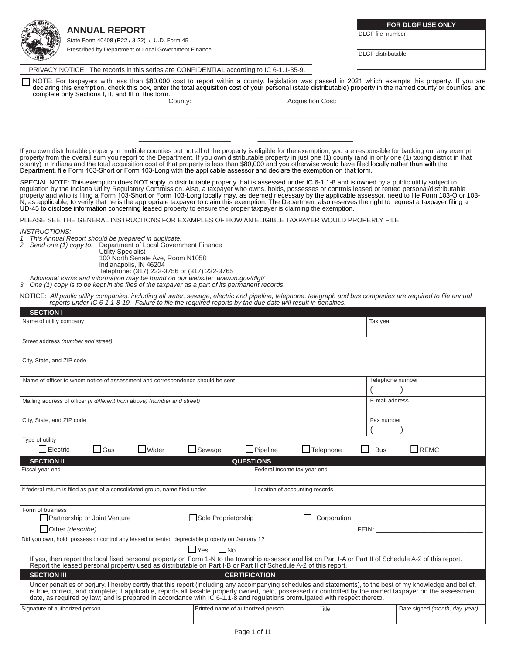| <b>ANNUAL REPORT</b> |  |  |
|----------------------|--|--|
|                      |  |  |

State Form 40408 (R22 / 3-22) / U.D. Form 45 Prescribed by Department of Local Government Finance **FOR DLGF USE ONLY**

DLGF file number

DLGF distributable

PRIVACY NOTICE: The records in this series are CONFIDENTIAL according to IC 6-1.1-35-9.

NOTE: For taxpayers with less than \$80,000 cost to report within a county, legislation was passed in 2021 which exempts this property. If you are<br>declaring this exemption, check this box, enter the total acquisition cost o complete only Sections I, II, and III of this form.

County: County: County: County: County: County: County: County: County: County: County: County: County: County: County: County: County: County: County: County: County: County: County: County: County: County: County: County

If you own distributable property in multiple counties but not all of the property is eligible for the exemption, you are responsible for backing out any exempt property from the overall sum you report to the Department. If you own distributable property in just one (1) county (and in only one (1) taxing district in that county) in Indiana and the total acquisition cost of that property is less than \$80,000 and you otherwise would have filed locally rather than with the Department, file Form 103-Short or Form 103-Long with the applicable assessor and declare the exemption on that form.

\_\_\_\_\_\_\_\_\_\_\_\_\_\_\_\_\_\_\_\_\_\_\_\_\_ \_\_\_\_\_\_\_\_\_\_\_\_\_\_\_\_\_\_\_\_\_\_\_\_\_\_ \_\_\_\_\_\_\_\_\_\_\_\_\_\_\_\_\_\_\_\_\_\_\_\_\_ \_\_\_\_\_\_\_\_\_\_\_\_\_\_\_\_\_\_\_\_\_\_\_\_\_\_ \_\_\_\_\_\_\_\_\_\_\_\_\_\_\_\_\_\_\_\_\_\_\_\_\_ \_\_\_\_\_\_\_\_\_\_\_\_\_\_\_\_\_\_\_\_\_\_\_\_\_\_

SPECIAL NOTE: This exemption does NOT apply to distributable property that is assessed under IC 6-1.1-8 and is owned by a public utility subject to regulation by the Indiana Utility Regulatory Commission. Also, a taxpayer who owns, holds, possesses or controls leased or rented personal/distributable property and who is filing a Form 103-Short or Form 103-Long locally may, as deemed necessary by the applicable assessor, need to file Form 103-O or 103-<br>N, as applicable, to verify that he is the appropriate taxpayer to c UD-45 to disclose information concerning leased property to ensure the proper taxpayer is claiming the exemption.

PLEASE SEE THE GENERAL INSTRUCTIONS FOR EXAMPLES OF HOW AN ELIGIBLE TAXPAYER WOULD PROPERLY FILE.

*INSTRUCTIONS:*

*1. This Annual Report should be prepared in duplicate.*

*2. Send one (1) copy to:* Department of Local Government Finance

Utility Specialist

100 North Senate Ave, Room N1058 Indianapolis, IN 46204

Telephone: (317) 232-3756 or (317) 232-3765

*Additional forms and information may be found on our website: www.in.gov/dlgf/*

*3. One (1) copy is to be kept in the files of the taxpayer as a part of its permanent records.*

NOTICE: *All public utility companies, including all water, sewage, electric and pipeline, telephone, telegraph and bus companies are required to file annual reports under IC 6-1.1-8-19. Failure to file the required reports by the due date will result in penalties.*

| <b>SECTION I</b>                                                                                                                                                                                                                                                                                                                                                                                                                                      |                                           |                                |                                |  |
|-------------------------------------------------------------------------------------------------------------------------------------------------------------------------------------------------------------------------------------------------------------------------------------------------------------------------------------------------------------------------------------------------------------------------------------------------------|-------------------------------------------|--------------------------------|--------------------------------|--|
| Name of utility company                                                                                                                                                                                                                                                                                                                                                                                                                               |                                           | Tax year                       |                                |  |
| Street address (number and street)                                                                                                                                                                                                                                                                                                                                                                                                                    |                                           |                                |                                |  |
| City, State, and ZIP code                                                                                                                                                                                                                                                                                                                                                                                                                             |                                           |                                |                                |  |
| Name of officer to whom notice of assessment and correspondence should be sent                                                                                                                                                                                                                                                                                                                                                                        |                                           |                                | Telephone number               |  |
| Mailing address of officer (if different from above) (number and street)                                                                                                                                                                                                                                                                                                                                                                              |                                           | E-mail address                 |                                |  |
| City, State, and ZIP code                                                                                                                                                                                                                                                                                                                                                                                                                             |                                           | Fax number                     |                                |  |
| Type of utility                                                                                                                                                                                                                                                                                                                                                                                                                                       |                                           |                                |                                |  |
| $\Box$ Electric<br>$\Box$ Water<br>$\Box$ Gas                                                                                                                                                                                                                                                                                                                                                                                                         | $\Box$ Pipeline<br>$\Box$ Sewage          | $\Box$ Telephone<br><b>Bus</b> | $\Box$ REMC                    |  |
| <b>SECTION II</b>                                                                                                                                                                                                                                                                                                                                                                                                                                     | <b>QUESTIONS</b>                          |                                |                                |  |
| Fiscal year end                                                                                                                                                                                                                                                                                                                                                                                                                                       | Federal income tax year end               |                                |                                |  |
| If federal return is filed as part of a consolidated group, name filed under                                                                                                                                                                                                                                                                                                                                                                          | Location of accounting records            |                                |                                |  |
| Form of business                                                                                                                                                                                                                                                                                                                                                                                                                                      |                                           |                                |                                |  |
| Partnership or Joint Venture                                                                                                                                                                                                                                                                                                                                                                                                                          | Sole Proprietorship                       | Corporation                    |                                |  |
| Other (describe)                                                                                                                                                                                                                                                                                                                                                                                                                                      |                                           | FEIN:                          |                                |  |
| Did you own, hold, possess or control any leased or rented depreciable property on January 1?                                                                                                                                                                                                                                                                                                                                                         |                                           |                                |                                |  |
|                                                                                                                                                                                                                                                                                                                                                                                                                                                       | $\Box$ Yes<br>$\overline{\phantom{a}}$ No |                                |                                |  |
| If yes, then report the local fixed personal property on Form 1-N to the township assessor and list on Part I-A or Part II of Schedule A-2 of this report.<br>Report the leased personal property used as distributable on Part I                                                                                                                                                                                                                     |                                           |                                |                                |  |
| <b>SECTION III</b>                                                                                                                                                                                                                                                                                                                                                                                                                                    | <b>CERTIFICATION</b>                      |                                |                                |  |
| Under penalties of perjury, I hereby certify that this report (including any accompanying schedules and statements), to the best of my knowledge and belief,<br>is true, correct, and complete; if applicable, reports all taxable property owned, held, possessed or controlled by the named taxpayer on the assessment<br>date, as required by law; and is prepared in accordance with IC 6-1.1-8 and requiations promulgated with respect thereto. |                                           |                                |                                |  |
| Signature of authorized person                                                                                                                                                                                                                                                                                                                                                                                                                        | Printed name of authorized person         | Title                          | Date signed (month, day, year) |  |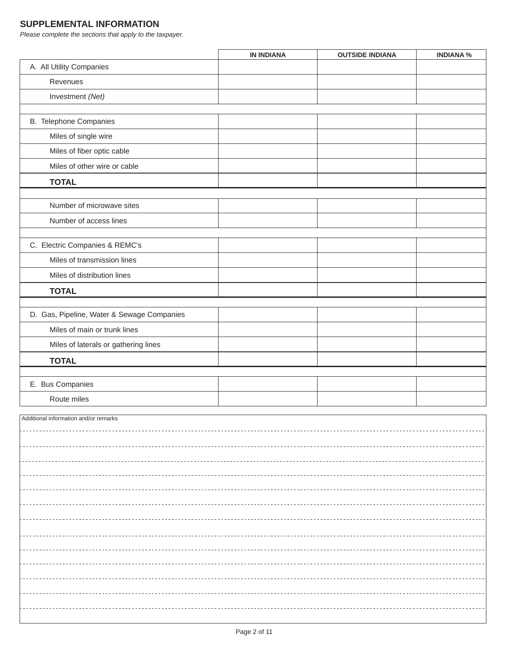## **SUPPLEMENTAL INFORMATION**

*Please complete the sections that apply to the taxpayer.*

|                                            | <b>IN INDIANA</b> | <b>OUTSIDE INDIANA</b> | <b>INDIANA %</b> |  |  |
|--------------------------------------------|-------------------|------------------------|------------------|--|--|
| A. All Utility Companies                   |                   |                        |                  |  |  |
| Revenues                                   |                   |                        |                  |  |  |
| Investment (Net)                           |                   |                        |                  |  |  |
|                                            |                   |                        |                  |  |  |
| B. Telephone Companies                     |                   |                        |                  |  |  |
| Miles of single wire                       |                   |                        |                  |  |  |
| Miles of fiber optic cable                 |                   |                        |                  |  |  |
| Miles of other wire or cable               |                   |                        |                  |  |  |
| <b>TOTAL</b>                               |                   |                        |                  |  |  |
| Number of microwave sites                  |                   |                        |                  |  |  |
| Number of access lines                     |                   |                        |                  |  |  |
|                                            |                   |                        |                  |  |  |
| C. Electric Companies & REMC's             |                   |                        |                  |  |  |
| Miles of transmission lines                |                   |                        |                  |  |  |
| Miles of distribution lines                |                   |                        |                  |  |  |
| <b>TOTAL</b>                               |                   |                        |                  |  |  |
|                                            |                   |                        |                  |  |  |
| D. Gas, Pipeline, Water & Sewage Companies |                   |                        |                  |  |  |
| Miles of main or trunk lines               |                   |                        |                  |  |  |
| Miles of laterals or gathering lines       |                   |                        |                  |  |  |
| <b>TOTAL</b>                               |                   |                        |                  |  |  |
|                                            |                   |                        |                  |  |  |
| E. Bus Companies                           |                   |                        |                  |  |  |
| Route miles                                |                   |                        |                  |  |  |
| Additional information and/or remarks      |                   |                        |                  |  |  |
|                                            |                   |                        |                  |  |  |
|                                            |                   |                        |                  |  |  |
|                                            |                   |                        |                  |  |  |
|                                            |                   |                        |                  |  |  |
|                                            |                   |                        |                  |  |  |
|                                            |                   |                        |                  |  |  |
|                                            |                   |                        |                  |  |  |
|                                            |                   |                        |                  |  |  |
|                                            |                   |                        |                  |  |  |
|                                            |                   |                        |                  |  |  |
|                                            |                   |                        |                  |  |  |
|                                            |                   |                        |                  |  |  |
|                                            |                   |                        |                  |  |  |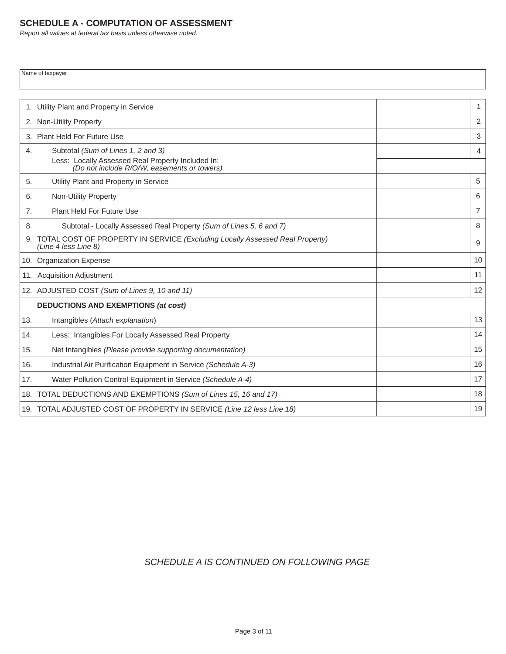## **SCHEDULE A - COMPUTATION OF ASSESSMENT**

*Report all values at federal tax basis unless otherwise noted.*

Name of taxpayer

|     | 1. Utility Plant and Property in Service                                                                | $\mathbf{1}$   |
|-----|---------------------------------------------------------------------------------------------------------|----------------|
|     | 2. Non-Utility Property                                                                                 | 2              |
|     | 3. Plant Held For Future Use                                                                            | 3              |
| 4.  | Subtotal (Sum of Lines 1, 2 and 3)                                                                      | $\overline{4}$ |
|     | Less: Locally Assessed Real Property Included In:<br>(Do not include R/O/W, easements or towers)        |                |
| 5.  | Utility Plant and Property in Service                                                                   | 5              |
| 6.  | Non-Utility Property                                                                                    | 6              |
| 7.  | Plant Held For Future Use                                                                               | $\overline{7}$ |
| 8.  | Subtotal - Locally Assessed Real Property (Sum of Lines 5, 6 and 7)                                     | 8              |
|     | 9. TOTAL COST OF PROPERTY IN SERVICE (Excluding Locally Assessed Real Property)<br>(Line 4 less Line 8) | 9              |
|     | 10. Organization Expense                                                                                | 10             |
|     | 11. Acquisition Adjustment                                                                              | 11             |
|     | 12. ADJUSTED COST (Sum of Lines 9, 10 and 11)                                                           | 12             |
|     | <b>DEDUCTIONS AND EXEMPTIONS (at cost)</b>                                                              |                |
| 13. | Intangibles (Attach explanation)                                                                        | 13             |
| 14. | Less: Intangibles For Locally Assessed Real Property                                                    | 14             |
| 15. | Net Intangibles (Please provide supporting documentation)                                               | 15             |
| 16. | Industrial Air Purification Equipment in Service (Schedule A-3)                                         | 16             |
| 17. | Water Pollution Control Equipment in Service (Schedule A-4)                                             | 17             |
|     | 18. TOTAL DEDUCTIONS AND EXEMPTIONS (Sum of Lines 15, 16 and 17)                                        | 18             |
|     | 19. TOTAL ADJUSTED COST OF PROPERTY IN SERVICE (Line 12 less Line 18)                                   | 19             |
|     |                                                                                                         |                |

# *SCHEDULE A IS CONTINUED ON FOLLOWING PAGE*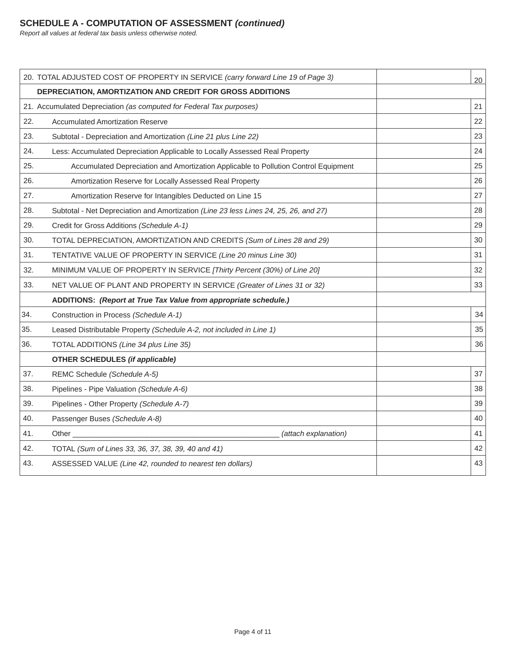*Report all values at federal tax basis unless otherwise noted.*

| 20. TOTAL ADJUSTED COST OF PROPERTY IN SERVICE (carry forward Line 19 of Page 3)<br>20<br>DEPRECIATION, AMORTIZATION AND CREDIT FOR GROSS ADDITIONS<br>21. Accumulated Depreciation (as computed for Federal Tax purposes)<br>21<br>22<br>22.<br><b>Accumulated Amortization Reserve</b><br>23.<br>23<br>Subtotal - Depreciation and Amortization (Line 21 plus Line 22)<br>24.<br>24<br>Less: Accumulated Depreciation Applicable to Locally Assessed Real Property<br>25.<br>25<br>Accumulated Depreciation and Amortization Applicable to Pollution Control Equipment<br>26.<br>26<br>Amortization Reserve for Locally Assessed Real Property<br>27<br>27.<br>Amortization Reserve for Intangibles Deducted on Line 15<br>28.<br>28<br>Subtotal - Net Depreciation and Amortization (Line 23 less Lines 24, 25, 26, and 27)<br>29.<br>29<br>Credit for Gross Additions (Schedule A-1)<br>30.<br>30<br>TOTAL DEPRECIATION, AMORTIZATION AND CREDITS (Sum of Lines 28 and 29)<br>31.<br>TENTATIVE VALUE OF PROPERTY IN SERVICE (Line 20 minus Line 30)<br>31<br>32<br>32.<br>MINIMUM VALUE OF PROPERTY IN SERVICE [Thirty Percent (30%) of Line 20]<br>33<br>33.<br>NET VALUE OF PLANT AND PROPERTY IN SERVICE (Greater of Lines 31 or 32)<br>ADDITIONS: (Report at True Tax Value from appropriate schedule.)<br>34<br>Construction in Process (Schedule A-1)<br>35<br>Leased Distributable Property (Schedule A-2, not included in Line 1)<br>36<br>TOTAL ADDITIONS (Line 34 plus Line 35)<br><b>OTHER SCHEDULES (if applicable)</b><br>37<br>REMC Schedule (Schedule A-5)<br>38.<br>Pipelines - Pipe Valuation (Schedule A-6)<br>38<br>39.<br>Pipelines - Other Property (Schedule A-7)<br>39<br>40<br>40.<br>Passenger Buses (Schedule A-8)<br>41<br>41.<br>(attach explanation)<br>Other<br>42.<br>42<br>TOTAL (Sum of Lines 33, 36, 37, 38, 39, 40 and 41)<br>43<br>43.<br>ASSESSED VALUE (Line 42, rounded to nearest ten dollars) |     |  |  |
|--------------------------------------------------------------------------------------------------------------------------------------------------------------------------------------------------------------------------------------------------------------------------------------------------------------------------------------------------------------------------------------------------------------------------------------------------------------------------------------------------------------------------------------------------------------------------------------------------------------------------------------------------------------------------------------------------------------------------------------------------------------------------------------------------------------------------------------------------------------------------------------------------------------------------------------------------------------------------------------------------------------------------------------------------------------------------------------------------------------------------------------------------------------------------------------------------------------------------------------------------------------------------------------------------------------------------------------------------------------------------------------------------------------------------------------------------------------------------------------------------------------------------------------------------------------------------------------------------------------------------------------------------------------------------------------------------------------------------------------------------------------------------------------------------------------------------------------------------------------------------------------------------------------------------------------------|-----|--|--|
|                                                                                                                                                                                                                                                                                                                                                                                                                                                                                                                                                                                                                                                                                                                                                                                                                                                                                                                                                                                                                                                                                                                                                                                                                                                                                                                                                                                                                                                                                                                                                                                                                                                                                                                                                                                                                                                                                                                                            |     |  |  |
|                                                                                                                                                                                                                                                                                                                                                                                                                                                                                                                                                                                                                                                                                                                                                                                                                                                                                                                                                                                                                                                                                                                                                                                                                                                                                                                                                                                                                                                                                                                                                                                                                                                                                                                                                                                                                                                                                                                                            |     |  |  |
|                                                                                                                                                                                                                                                                                                                                                                                                                                                                                                                                                                                                                                                                                                                                                                                                                                                                                                                                                                                                                                                                                                                                                                                                                                                                                                                                                                                                                                                                                                                                                                                                                                                                                                                                                                                                                                                                                                                                            |     |  |  |
|                                                                                                                                                                                                                                                                                                                                                                                                                                                                                                                                                                                                                                                                                                                                                                                                                                                                                                                                                                                                                                                                                                                                                                                                                                                                                                                                                                                                                                                                                                                                                                                                                                                                                                                                                                                                                                                                                                                                            |     |  |  |
|                                                                                                                                                                                                                                                                                                                                                                                                                                                                                                                                                                                                                                                                                                                                                                                                                                                                                                                                                                                                                                                                                                                                                                                                                                                                                                                                                                                                                                                                                                                                                                                                                                                                                                                                                                                                                                                                                                                                            |     |  |  |
|                                                                                                                                                                                                                                                                                                                                                                                                                                                                                                                                                                                                                                                                                                                                                                                                                                                                                                                                                                                                                                                                                                                                                                                                                                                                                                                                                                                                                                                                                                                                                                                                                                                                                                                                                                                                                                                                                                                                            |     |  |  |
|                                                                                                                                                                                                                                                                                                                                                                                                                                                                                                                                                                                                                                                                                                                                                                                                                                                                                                                                                                                                                                                                                                                                                                                                                                                                                                                                                                                                                                                                                                                                                                                                                                                                                                                                                                                                                                                                                                                                            |     |  |  |
|                                                                                                                                                                                                                                                                                                                                                                                                                                                                                                                                                                                                                                                                                                                                                                                                                                                                                                                                                                                                                                                                                                                                                                                                                                                                                                                                                                                                                                                                                                                                                                                                                                                                                                                                                                                                                                                                                                                                            |     |  |  |
|                                                                                                                                                                                                                                                                                                                                                                                                                                                                                                                                                                                                                                                                                                                                                                                                                                                                                                                                                                                                                                                                                                                                                                                                                                                                                                                                                                                                                                                                                                                                                                                                                                                                                                                                                                                                                                                                                                                                            |     |  |  |
|                                                                                                                                                                                                                                                                                                                                                                                                                                                                                                                                                                                                                                                                                                                                                                                                                                                                                                                                                                                                                                                                                                                                                                                                                                                                                                                                                                                                                                                                                                                                                                                                                                                                                                                                                                                                                                                                                                                                            |     |  |  |
|                                                                                                                                                                                                                                                                                                                                                                                                                                                                                                                                                                                                                                                                                                                                                                                                                                                                                                                                                                                                                                                                                                                                                                                                                                                                                                                                                                                                                                                                                                                                                                                                                                                                                                                                                                                                                                                                                                                                            |     |  |  |
|                                                                                                                                                                                                                                                                                                                                                                                                                                                                                                                                                                                                                                                                                                                                                                                                                                                                                                                                                                                                                                                                                                                                                                                                                                                                                                                                                                                                                                                                                                                                                                                                                                                                                                                                                                                                                                                                                                                                            |     |  |  |
|                                                                                                                                                                                                                                                                                                                                                                                                                                                                                                                                                                                                                                                                                                                                                                                                                                                                                                                                                                                                                                                                                                                                                                                                                                                                                                                                                                                                                                                                                                                                                                                                                                                                                                                                                                                                                                                                                                                                            |     |  |  |
|                                                                                                                                                                                                                                                                                                                                                                                                                                                                                                                                                                                                                                                                                                                                                                                                                                                                                                                                                                                                                                                                                                                                                                                                                                                                                                                                                                                                                                                                                                                                                                                                                                                                                                                                                                                                                                                                                                                                            |     |  |  |
|                                                                                                                                                                                                                                                                                                                                                                                                                                                                                                                                                                                                                                                                                                                                                                                                                                                                                                                                                                                                                                                                                                                                                                                                                                                                                                                                                                                                                                                                                                                                                                                                                                                                                                                                                                                                                                                                                                                                            |     |  |  |
|                                                                                                                                                                                                                                                                                                                                                                                                                                                                                                                                                                                                                                                                                                                                                                                                                                                                                                                                                                                                                                                                                                                                                                                                                                                                                                                                                                                                                                                                                                                                                                                                                                                                                                                                                                                                                                                                                                                                            |     |  |  |
|                                                                                                                                                                                                                                                                                                                                                                                                                                                                                                                                                                                                                                                                                                                                                                                                                                                                                                                                                                                                                                                                                                                                                                                                                                                                                                                                                                                                                                                                                                                                                                                                                                                                                                                                                                                                                                                                                                                                            | 34. |  |  |
|                                                                                                                                                                                                                                                                                                                                                                                                                                                                                                                                                                                                                                                                                                                                                                                                                                                                                                                                                                                                                                                                                                                                                                                                                                                                                                                                                                                                                                                                                                                                                                                                                                                                                                                                                                                                                                                                                                                                            | 35. |  |  |
|                                                                                                                                                                                                                                                                                                                                                                                                                                                                                                                                                                                                                                                                                                                                                                                                                                                                                                                                                                                                                                                                                                                                                                                                                                                                                                                                                                                                                                                                                                                                                                                                                                                                                                                                                                                                                                                                                                                                            | 36. |  |  |
|                                                                                                                                                                                                                                                                                                                                                                                                                                                                                                                                                                                                                                                                                                                                                                                                                                                                                                                                                                                                                                                                                                                                                                                                                                                                                                                                                                                                                                                                                                                                                                                                                                                                                                                                                                                                                                                                                                                                            |     |  |  |
|                                                                                                                                                                                                                                                                                                                                                                                                                                                                                                                                                                                                                                                                                                                                                                                                                                                                                                                                                                                                                                                                                                                                                                                                                                                                                                                                                                                                                                                                                                                                                                                                                                                                                                                                                                                                                                                                                                                                            | 37. |  |  |
|                                                                                                                                                                                                                                                                                                                                                                                                                                                                                                                                                                                                                                                                                                                                                                                                                                                                                                                                                                                                                                                                                                                                                                                                                                                                                                                                                                                                                                                                                                                                                                                                                                                                                                                                                                                                                                                                                                                                            |     |  |  |
|                                                                                                                                                                                                                                                                                                                                                                                                                                                                                                                                                                                                                                                                                                                                                                                                                                                                                                                                                                                                                                                                                                                                                                                                                                                                                                                                                                                                                                                                                                                                                                                                                                                                                                                                                                                                                                                                                                                                            |     |  |  |
|                                                                                                                                                                                                                                                                                                                                                                                                                                                                                                                                                                                                                                                                                                                                                                                                                                                                                                                                                                                                                                                                                                                                                                                                                                                                                                                                                                                                                                                                                                                                                                                                                                                                                                                                                                                                                                                                                                                                            |     |  |  |
|                                                                                                                                                                                                                                                                                                                                                                                                                                                                                                                                                                                                                                                                                                                                                                                                                                                                                                                                                                                                                                                                                                                                                                                                                                                                                                                                                                                                                                                                                                                                                                                                                                                                                                                                                                                                                                                                                                                                            |     |  |  |
|                                                                                                                                                                                                                                                                                                                                                                                                                                                                                                                                                                                                                                                                                                                                                                                                                                                                                                                                                                                                                                                                                                                                                                                                                                                                                                                                                                                                                                                                                                                                                                                                                                                                                                                                                                                                                                                                                                                                            |     |  |  |
|                                                                                                                                                                                                                                                                                                                                                                                                                                                                                                                                                                                                                                                                                                                                                                                                                                                                                                                                                                                                                                                                                                                                                                                                                                                                                                                                                                                                                                                                                                                                                                                                                                                                                                                                                                                                                                                                                                                                            |     |  |  |
|                                                                                                                                                                                                                                                                                                                                                                                                                                                                                                                                                                                                                                                                                                                                                                                                                                                                                                                                                                                                                                                                                                                                                                                                                                                                                                                                                                                                                                                                                                                                                                                                                                                                                                                                                                                                                                                                                                                                            |     |  |  |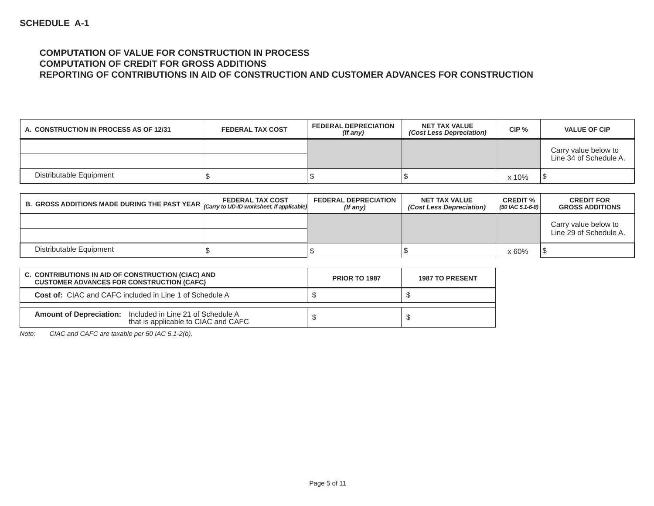#### **COMPUTATION OF VALUE FOR CONSTRUCTION IN PROCESS COMPUTATION OF CREDIT FOR GROSS ADDITIONSREPORTING OF CONTRIBUTIONS IN AID OF CONSTRUCTION AND CUSTOMER ADVANCES FOR CONSTRUCTION**

| A. CONSTRUCTION IN PROCESS AS OF 12/31 | <b>FEDERAL TAX COST</b> | <b>FEDERAL DEPRECIATION</b><br>$($ f any $)$ | <b>NET TAX VALUE</b><br>(Cost Less Depreciation) | CIP <sub>%</sub> | <b>VALUE OF CIP</b>                            |
|----------------------------------------|-------------------------|----------------------------------------------|--------------------------------------------------|------------------|------------------------------------------------|
|                                        |                         |                                              |                                                  |                  | Carry value below to<br>Line 34 of Schedule A. |
| Distributable Equipment                |                         |                                              |                                                  | x 10%            |                                                |

| $\parallel$ B. GROSS ADDITIONS MADE DURING THE PAST YEAR $ _{(Carry to UD+ID) work sheet, if applicable)}$ | <b>FEDERAL TAX COST</b> | <b>FEDERAL DEPRECIATION</b><br>(If any) | <b>NET TAX VALUE</b><br>(Cost Less Depreciation) | <b>CREDIT %</b><br>$(50$ IAC 5.1-6-8) | <b>CREDIT FOR</b><br><b>GROSS ADDITIONS</b>    |
|------------------------------------------------------------------------------------------------------------|-------------------------|-----------------------------------------|--------------------------------------------------|---------------------------------------|------------------------------------------------|
|                                                                                                            |                         |                                         |                                                  |                                       | Carry value below to<br>Line 29 of Schedule A. |
| Distributable Equipment                                                                                    |                         |                                         |                                                  | x 60%                                 |                                                |

| C. CONTRIBUTIONS IN AID OF CONSTRUCTION (CIAC) AND<br><b>CUSTOMER ADVANCES FOR CONSTRUCTION (CAFC)</b>  | <b>PRIOR TO 1987</b> | <b>1987 TO PRESENT</b> |
|---------------------------------------------------------------------------------------------------------|----------------------|------------------------|
| <b>Cost of:</b> CIAC and CAFC included in Line 1 of Schedule A                                          |                      |                        |
| <b>Amount of Depreciation:</b> Included in Line 21 of Schedule A<br>that is applicable to CIAC and CAFC |                      |                        |

*Note: CIAC and CAFC are taxable per 50 IAC 5.1-2(b).*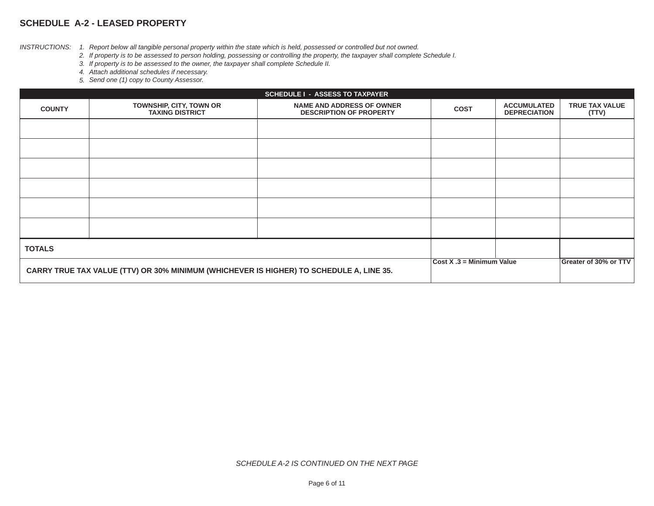## **SCHEDULE A-2 - LEASED PROPERTY**

*INSTRUCTIONS: 1. Report below all tangible personal property within the state which is held, possessed or controlled but not owned.*

- *2. If property is to be assessed to person holding, possessing or controlling the property, the taxpayer shall complete Schedule I.*
- *3. If property is to be assessed to the owner, the taxpayer shall complete Schedule II.*
- *4. Attach additional schedules if necessary.*
- *5. Send one (1) copy to County Assessor.*

|                                                                                         | <b>SCHEDULE I - ASSESS TO TAXPAYER</b>            |                                                                    |             |                                           |                                |
|-----------------------------------------------------------------------------------------|---------------------------------------------------|--------------------------------------------------------------------|-------------|-------------------------------------------|--------------------------------|
| <b>COUNTY</b>                                                                           | TOWNSHIP, CITY, TOWN OR<br><b>TAXING DISTRICT</b> | <b>NAME AND ADDRESS OF OWNER</b><br><b>DESCRIPTION OF PROPERTY</b> | <b>COST</b> | <b>ACCUMULATED</b><br><b>DEPRECIATION</b> | <b>TRUE TAX VALUE</b><br>(TTV) |
|                                                                                         |                                                   |                                                                    |             |                                           |                                |
|                                                                                         |                                                   |                                                                    |             |                                           |                                |
|                                                                                         |                                                   |                                                                    |             |                                           |                                |
|                                                                                         |                                                   |                                                                    |             |                                           |                                |
|                                                                                         |                                                   |                                                                    |             |                                           |                                |
|                                                                                         |                                                   |                                                                    |             |                                           |                                |
| <b>TOTALS</b>                                                                           |                                                   |                                                                    |             |                                           |                                |
| CARRY TRUE TAX VALUE (TTV) OR 30% MINIMUM (WHICHEVER IS HIGHER) TO SCHEDULE A, LINE 35. |                                                   | $Cost X .3 = Minimum Value$                                        |             | Greater of 30% or TTV                     |                                |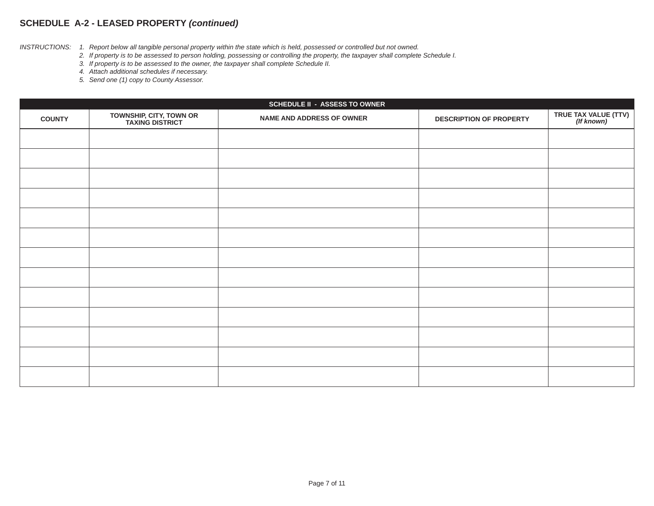#### **SCHEDULE A-2 - LEASED PROPERTY** *(continued)*

*INSTRUCTIONS: 1. Report below all tangible personal property within the state which is held, possessed or controlled but not owned.*

 *2. If property is to be assessed to person holding, possessing or controlling the property, the taxpayer shall complete Schedule I.*

 *3. If property is to be assessed to the owner, the taxpayer shall complete Schedule II.*

 *4. Attach additional schedules if necessary.*

 *5. Send one (1) copy to County Assessor.*

|               | <b>SCHEDULE II - ASSESS TO OWNER</b>               |                                  |                                |                                    |  |
|---------------|----------------------------------------------------|----------------------------------|--------------------------------|------------------------------------|--|
| <b>COUNTY</b> | <b>TOWNSHIP, CITY, TOWN OR<br/>TAXING DISTRICT</b> | <b>NAME AND ADDRESS OF OWNER</b> | <b>DESCRIPTION OF PROPERTY</b> | TRUE TAX VALUE (TTV)<br>(If known) |  |
|               |                                                    |                                  |                                |                                    |  |
|               |                                                    |                                  |                                |                                    |  |
|               |                                                    |                                  |                                |                                    |  |
|               |                                                    |                                  |                                |                                    |  |
|               |                                                    |                                  |                                |                                    |  |
|               |                                                    |                                  |                                |                                    |  |
|               |                                                    |                                  |                                |                                    |  |
|               |                                                    |                                  |                                |                                    |  |
|               |                                                    |                                  |                                |                                    |  |
|               |                                                    |                                  |                                |                                    |  |
|               |                                                    |                                  |                                |                                    |  |
|               |                                                    |                                  |                                |                                    |  |
|               |                                                    |                                  |                                |                                    |  |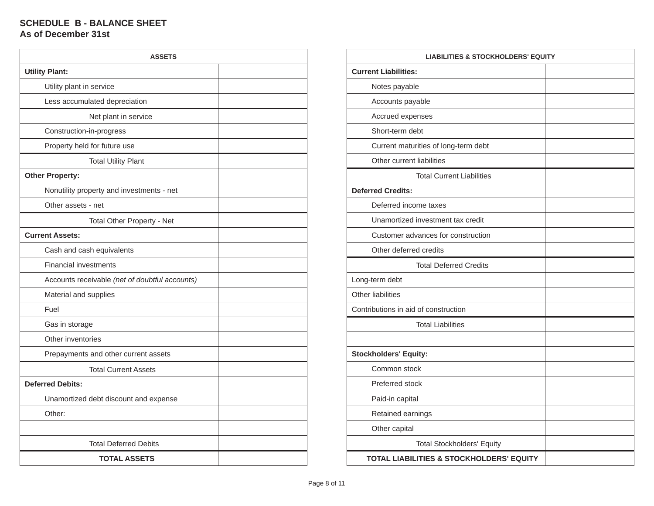#### **SCHEDULE B - BALANCE SHEET As of December 31st**

| <b>ASSETS</b>                                  |  |
|------------------------------------------------|--|
| <b>Utility Plant:</b>                          |  |
| Utility plant in service                       |  |
| Less accumulated depreciation                  |  |
| Net plant in service                           |  |
| Construction-in-progress                       |  |
| Property held for future use                   |  |
| <b>Total Utility Plant</b>                     |  |
| <b>Other Property:</b>                         |  |
| Nonutility property and investments - net      |  |
| Other assets - net                             |  |
| <b>Total Other Property - Net</b>              |  |
| <b>Current Assets:</b>                         |  |
| Cash and cash equivalents                      |  |
| <b>Financial investments</b>                   |  |
| Accounts receivable (net of doubtful accounts) |  |
| Material and supplies                          |  |
| Fuel                                           |  |
| Gas in storage                                 |  |
| Other inventories                              |  |
| Prepayments and other current assets           |  |
| <b>Total Current Assets</b>                    |  |
| <b>Deferred Debits:</b>                        |  |
| Unamortized debt discount and expense          |  |
| Other:                                         |  |
|                                                |  |
| <b>Total Deferred Debits</b>                   |  |
| <b>TOTAL ASSETS</b>                            |  |

| <b>LIABILITIES &amp; STOCKHOLDERS' EQUITY</b>       |  |  |  |
|-----------------------------------------------------|--|--|--|
| <b>Current Liabilities:</b>                         |  |  |  |
| Notes payable                                       |  |  |  |
| Accounts payable                                    |  |  |  |
| Accrued expenses                                    |  |  |  |
| Short-term debt                                     |  |  |  |
| Current maturities of long-term debt                |  |  |  |
| Other current liabilities                           |  |  |  |
| <b>Total Current Liabilities</b>                    |  |  |  |
| <b>Deferred Credits:</b>                            |  |  |  |
| Deferred income taxes                               |  |  |  |
| Unamortized investment tax credit                   |  |  |  |
| Customer advances for construction                  |  |  |  |
| Other deferred credits                              |  |  |  |
| <b>Total Deferred Credits</b>                       |  |  |  |
| Long-term debt                                      |  |  |  |
| <b>Other liabilities</b>                            |  |  |  |
| Contributions in aid of construction                |  |  |  |
| <b>Total Liabilities</b>                            |  |  |  |
|                                                     |  |  |  |
| <b>Stockholders' Equity:</b>                        |  |  |  |
| Common stock                                        |  |  |  |
| Preferred stock                                     |  |  |  |
| Paid-in capital                                     |  |  |  |
| Retained earnings                                   |  |  |  |
| Other capital                                       |  |  |  |
| <b>Total Stockholders' Equity</b>                   |  |  |  |
| <b>TOTAL LIABILITIES &amp; STOCKHOLDERS' EQUITY</b> |  |  |  |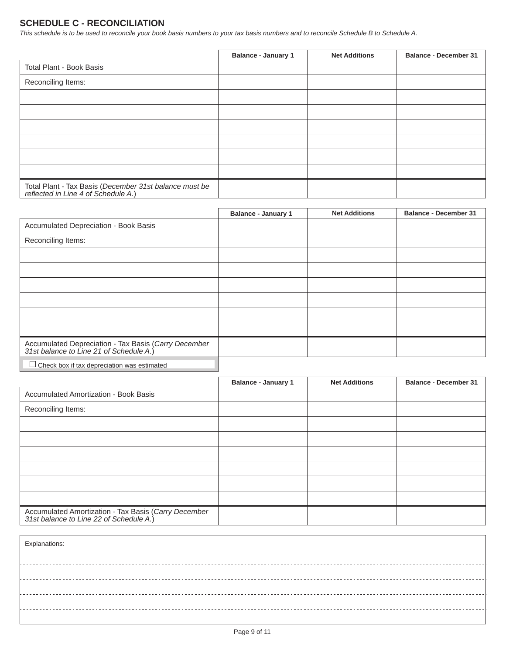## **SCHEDULE C - RECONCILIATION**

*This schedule is to be used to reconcile your book basis numbers to your tax basis numbers and to reconcile Schedule B to Schedule A.*

|                                                                                            | <b>Balance - January 1</b> | <b>Net Additions</b> | <b>Balance - December 31</b> |
|--------------------------------------------------------------------------------------------|----------------------------|----------------------|------------------------------|
| Total Plant - Book Basis                                                                   |                            |                      |                              |
| Reconciling Items:                                                                         |                            |                      |                              |
|                                                                                            |                            |                      |                              |
|                                                                                            |                            |                      |                              |
|                                                                                            |                            |                      |                              |
|                                                                                            |                            |                      |                              |
|                                                                                            |                            |                      |                              |
|                                                                                            |                            |                      |                              |
| Total Plant - Tax Basis (December 31st balance must be reflected in Line 4 of Schedule A.) |                            |                      |                              |

|                                                                                              | <b>Balance - January 1</b> | <b>Net Additions</b> | <b>Balance - December 31</b> |
|----------------------------------------------------------------------------------------------|----------------------------|----------------------|------------------------------|
| Accumulated Depreciation - Book Basis                                                        |                            |                      |                              |
| Reconciling Items:                                                                           |                            |                      |                              |
|                                                                                              |                            |                      |                              |
|                                                                                              |                            |                      |                              |
|                                                                                              |                            |                      |                              |
|                                                                                              |                            |                      |                              |
|                                                                                              |                            |                      |                              |
|                                                                                              |                            |                      |                              |
| Accumulated Depreciation - Tax Basis (Carry December 31st balance to Line 21 of Schedule A.) |                            |                      |                              |
| $\Box$ Check box if tax depreciation was estimated                                           |                            |                      |                              |

|                                                                                                 | <b>Balance - January 1</b> | <b>Net Additions</b> | <b>Balance - December 31</b> |
|-------------------------------------------------------------------------------------------------|----------------------------|----------------------|------------------------------|
| Accumulated Amortization - Book Basis                                                           |                            |                      |                              |
| Reconciling Items:                                                                              |                            |                      |                              |
|                                                                                                 |                            |                      |                              |
|                                                                                                 |                            |                      |                              |
|                                                                                                 |                            |                      |                              |
|                                                                                                 |                            |                      |                              |
|                                                                                                 |                            |                      |                              |
|                                                                                                 |                            |                      |                              |
| Accumulated Amortization - Tax Basis (Carry December<br>31st balance to Line 22 of Schedule A.) |                            |                      |                              |

| Explanations: |
|---------------|
|               |
|               |
|               |
|               |
|               |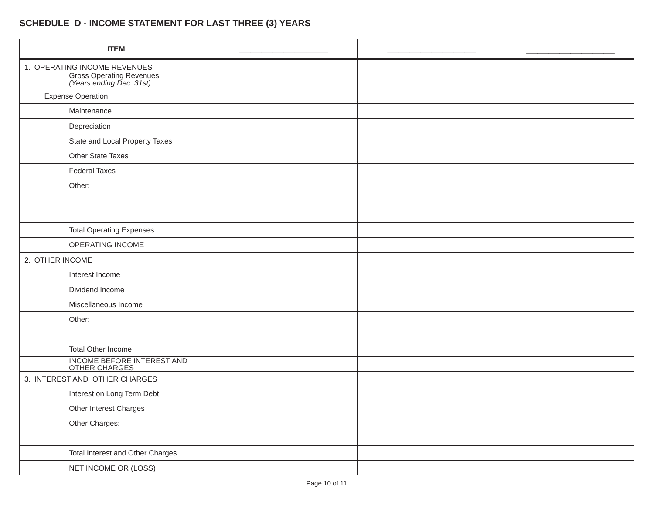# **SCHEDULE D - INCOME STATEMENT FOR LAST THREE (3) YEARS**

| <b>ITEM</b>                                                                          |  |  |
|--------------------------------------------------------------------------------------|--|--|
| 1. OPERATING INCOME REVENUES<br>Gross Operating Revenues<br>(Years ending Dec. 31st) |  |  |
| <b>Expense Operation</b>                                                             |  |  |
| Maintenance                                                                          |  |  |
| Depreciation                                                                         |  |  |
| State and Local Property Taxes                                                       |  |  |
| Other State Taxes                                                                    |  |  |
| <b>Federal Taxes</b>                                                                 |  |  |
| Other:                                                                               |  |  |
|                                                                                      |  |  |
|                                                                                      |  |  |
| <b>Total Operating Expenses</b>                                                      |  |  |
| OPERATING INCOME                                                                     |  |  |
| 2. OTHER INCOME                                                                      |  |  |
| Interest Income                                                                      |  |  |
| Dividend Income                                                                      |  |  |
| Miscellaneous Income                                                                 |  |  |
| Other:                                                                               |  |  |
|                                                                                      |  |  |
| Total Other Income                                                                   |  |  |
| INCOME BEFORE INTEREST AND OTHER CHARGES                                             |  |  |
| 3. INTEREST AND OTHER CHARGES                                                        |  |  |
| Interest on Long Term Debt                                                           |  |  |
| Other Interest Charges                                                               |  |  |
| Other Charges:                                                                       |  |  |
|                                                                                      |  |  |
| Total Interest and Other Charges                                                     |  |  |
| NET INCOME OR (LOSS)                                                                 |  |  |